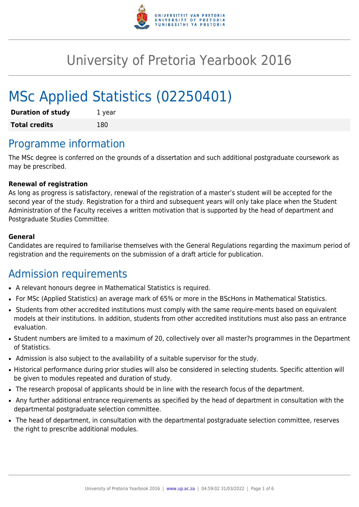

# University of Pretoria Yearbook 2016

# MSc Applied Statistics (02250401)

| <b>Duration of study</b> | 1 year |
|--------------------------|--------|
| <b>Total credits</b>     | 180    |

# Programme information

The MSc degree is conferred on the grounds of a dissertation and such additional postgraduate coursework as may be prescribed.

### **Renewal of registration**

As long as progress is satisfactory, renewal of the registration of a master's student will be accepted for the second year of the study. Registration for a third and subsequent years will only take place when the Student Administration of the Faculty receives a written motivation that is supported by the head of department and Postgraduate Studies Committee.

#### **General**

Candidates are required to familiarise themselves with the General Regulations regarding the maximum period of registration and the requirements on the submission of a draft article for publication.

# Admission requirements

- A relevant honours degree in Mathematical Statistics is required.
- For MSc (Applied Statistics) an average mark of 65% or more in the BScHons in Mathematical Statistics.
- Students from other accredited institutions must comply with the same require-ments based on equivalent models at their institutions. In addition, students from other accredited institutions must also pass an entrance evaluation.
- Student numbers are limited to a maximum of 20, collectively over all master?s programmes in the Department of Statistics.
- Admission is also subject to the availability of a suitable supervisor for the study.
- Historical performance during prior studies will also be considered in selecting students. Specific attention will be given to modules repeated and duration of study.
- The research proposal of applicants should be in line with the research focus of the department.
- Any further additional entrance requirements as specified by the head of department in consultation with the departmental postgraduate selection committee.
- The head of department, in consultation with the departmental postgraduate selection committee, reserves the right to prescribe additional modules.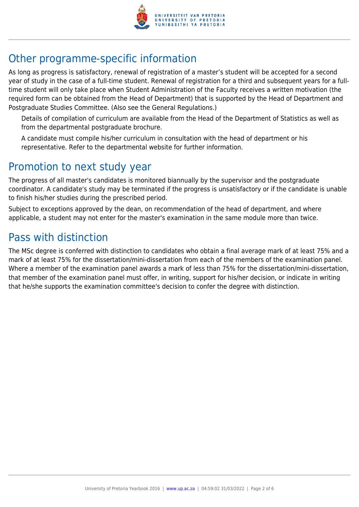

# Other programme-specific information

As long as progress is satisfactory, renewal of registration of a master's student will be accepted for a second year of study in the case of a full-time student. Renewal of registration for a third and subsequent years for a fulltime student will only take place when Student Administration of the Faculty receives a written motivation (the required form can be obtained from the Head of Department) that is supported by the Head of Department and Postgraduate Studies Committee. (Also see the General Regulations.)

Details of compilation of curriculum are available from the Head of the Department of Statistics as well as from the departmental postgraduate brochure.

A candidate must compile his/her curriculum in consultation with the head of department or his representative. Refer to the departmental website for further information.

# Promotion to next study year

The progress of all master's candidates is monitored biannually by the supervisor and the postgraduate coordinator. A candidate's study may be terminated if the progress is unsatisfactory or if the candidate is unable to finish his/her studies during the prescribed period.

Subject to exceptions approved by the dean, on recommendation of the head of department, and where applicable, a student may not enter for the master's examination in the same module more than twice.

# Pass with distinction

The MSc degree is conferred with distinction to candidates who obtain a final average mark of at least 75% and a mark of at least 75% for the dissertation/mini-dissertation from each of the members of the examination panel. Where a member of the examination panel awards a mark of less than 75% for the dissertation/mini-dissertation, that member of the examination panel must offer, in writing, support for his/her decision, or indicate in writing that he/she supports the examination committee's decision to confer the degree with distinction.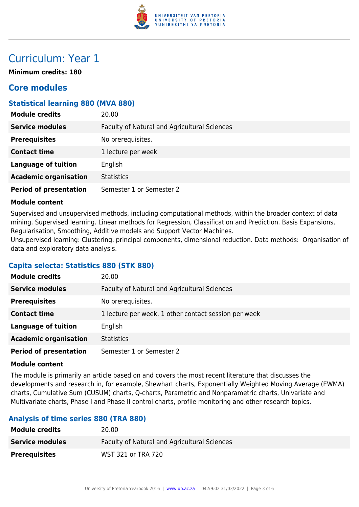

# Curriculum: Year 1

**Minimum credits: 180**

# **Core modules**

## **Statistical learning 880 (MVA 880)**

| <b>Module credits</b>         | 20.00                                        |
|-------------------------------|----------------------------------------------|
| <b>Service modules</b>        | Faculty of Natural and Agricultural Sciences |
| <b>Prerequisites</b>          | No prerequisites.                            |
| <b>Contact time</b>           | 1 lecture per week                           |
| <b>Language of tuition</b>    | English                                      |
| <b>Academic organisation</b>  | <b>Statistics</b>                            |
| <b>Period of presentation</b> | Semester 1 or Semester 2                     |

#### **Module content**

Supervised and unsupervised methods, including computational methods, within the broader context of data mining. Supervised learning. Linear methods for Regression, Classification and Prediction. Basis Expansions, Regularisation, Smoothing, Additive models and Support Vector Machines.

Unsupervised learning: Clustering, principal components, dimensional reduction. Data methods: Organisation of data and exploratory data analysis.

## **Capita selecta: Statistics 880 (STK 880)**

| <b>Module credits</b>         | 20.00                                                |
|-------------------------------|------------------------------------------------------|
| <b>Service modules</b>        | Faculty of Natural and Agricultural Sciences         |
| <b>Prerequisites</b>          | No prerequisites.                                    |
| <b>Contact time</b>           | 1 lecture per week, 1 other contact session per week |
| <b>Language of tuition</b>    | English                                              |
| <b>Academic organisation</b>  | <b>Statistics</b>                                    |
| <b>Period of presentation</b> | Semester 1 or Semester 2                             |

#### **Module content**

The module is primarily an article based on and covers the most recent literature that discusses the developments and research in, for example, Shewhart charts, Exponentially Weighted Moving Average (EWMA) charts, Cumulative Sum (CUSUM) charts, Q-charts, Parametric and Nonparametric charts, Univariate and Multivariate charts, Phase I and Phase II control charts, profile monitoring and other research topics.

## **Analysis of time series 880 (TRA 880)**

| <b>Module credits</b>  | 20.00                                               |
|------------------------|-----------------------------------------------------|
| <b>Service modules</b> | <b>Faculty of Natural and Agricultural Sciences</b> |
| <b>Prerequisites</b>   | WST 321 or TRA 720                                  |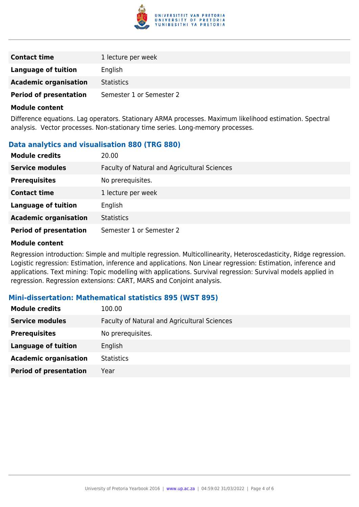

| <b>Contact time</b>           | 1 lecture per week       |
|-------------------------------|--------------------------|
| Language of tuition           | English                  |
| <b>Academic organisation</b>  | <b>Statistics</b>        |
| <b>Period of presentation</b> | Semester 1 or Semester 2 |

#### **Module content**

Difference equations. Lag operators. Stationary ARMA processes. Maximum likelihood estimation. Spectral analysis. Vector processes. Non-stationary time series. Long-memory processes.

## **Data analytics and visualisation 880 (TRG 880)**

| <b>Module credits</b>         | 20.00                                        |
|-------------------------------|----------------------------------------------|
| <b>Service modules</b>        | Faculty of Natural and Agricultural Sciences |
| <b>Prerequisites</b>          | No prerequisites.                            |
| <b>Contact time</b>           | 1 lecture per week                           |
| <b>Language of tuition</b>    | English                                      |
| <b>Academic organisation</b>  | <b>Statistics</b>                            |
| <b>Period of presentation</b> | Semester 1 or Semester 2                     |

#### **Module content**

Regression introduction: Simple and multiple regression. Multicollinearity, Heteroscedasticity, Ridge regression. Logistic regression: Estimation, inference and applications. Non Linear regression: Estimation, inference and applications. Text mining: Topic modelling with applications. Survival regression: Survival models applied in regression. Regression extensions: CART, MARS and Conjoint analysis.

### **Mini-dissertation: Mathematical statistics 895 (WST 895)**

| <b>Module credits</b>         | 100.00                                       |
|-------------------------------|----------------------------------------------|
| <b>Service modules</b>        | Faculty of Natural and Agricultural Sciences |
| <b>Prerequisites</b>          | No prerequisites.                            |
| Language of tuition           | English                                      |
| <b>Academic organisation</b>  | <b>Statistics</b>                            |
| <b>Period of presentation</b> | Year                                         |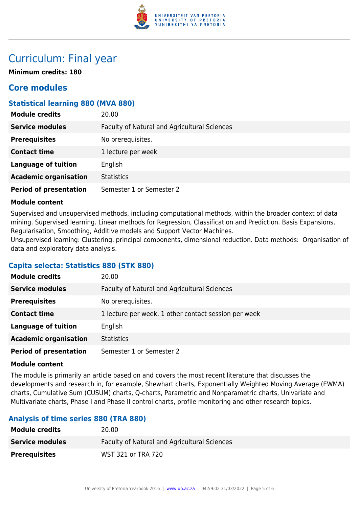

# Curriculum: Final year

**Minimum credits: 180**

# **Core modules**

## **Statistical learning 880 (MVA 880)**

| <b>Module credits</b>         | 20.00                                        |
|-------------------------------|----------------------------------------------|
| <b>Service modules</b>        | Faculty of Natural and Agricultural Sciences |
| <b>Prerequisites</b>          | No prerequisites.                            |
| <b>Contact time</b>           | 1 lecture per week                           |
| <b>Language of tuition</b>    | English                                      |
| <b>Academic organisation</b>  | <b>Statistics</b>                            |
| <b>Period of presentation</b> | Semester 1 or Semester 2                     |

#### **Module content**

Supervised and unsupervised methods, including computational methods, within the broader context of data mining. Supervised learning. Linear methods for Regression, Classification and Prediction. Basis Expansions, Regularisation, Smoothing, Additive models and Support Vector Machines.

Unsupervised learning: Clustering, principal components, dimensional reduction. Data methods: Organisation of data and exploratory data analysis.

## **Capita selecta: Statistics 880 (STK 880)**

| <b>Module credits</b>         | 20.00                                                |
|-------------------------------|------------------------------------------------------|
| <b>Service modules</b>        | Faculty of Natural and Agricultural Sciences         |
| <b>Prerequisites</b>          | No prerequisites.                                    |
| <b>Contact time</b>           | 1 lecture per week, 1 other contact session per week |
| <b>Language of tuition</b>    | English                                              |
| <b>Academic organisation</b>  | <b>Statistics</b>                                    |
| <b>Period of presentation</b> | Semester 1 or Semester 2                             |

#### **Module content**

The module is primarily an article based on and covers the most recent literature that discusses the developments and research in, for example, Shewhart charts, Exponentially Weighted Moving Average (EWMA) charts, Cumulative Sum (CUSUM) charts, Q-charts, Parametric and Nonparametric charts, Univariate and Multivariate charts, Phase I and Phase II control charts, profile monitoring and other research topics.

# **Analysis of time series 880 (TRA 880)**

| <b>Module credits</b>  | 20.00                                               |
|------------------------|-----------------------------------------------------|
| <b>Service modules</b> | <b>Faculty of Natural and Agricultural Sciences</b> |
| <b>Prerequisites</b>   | WST 321 or TRA 720                                  |